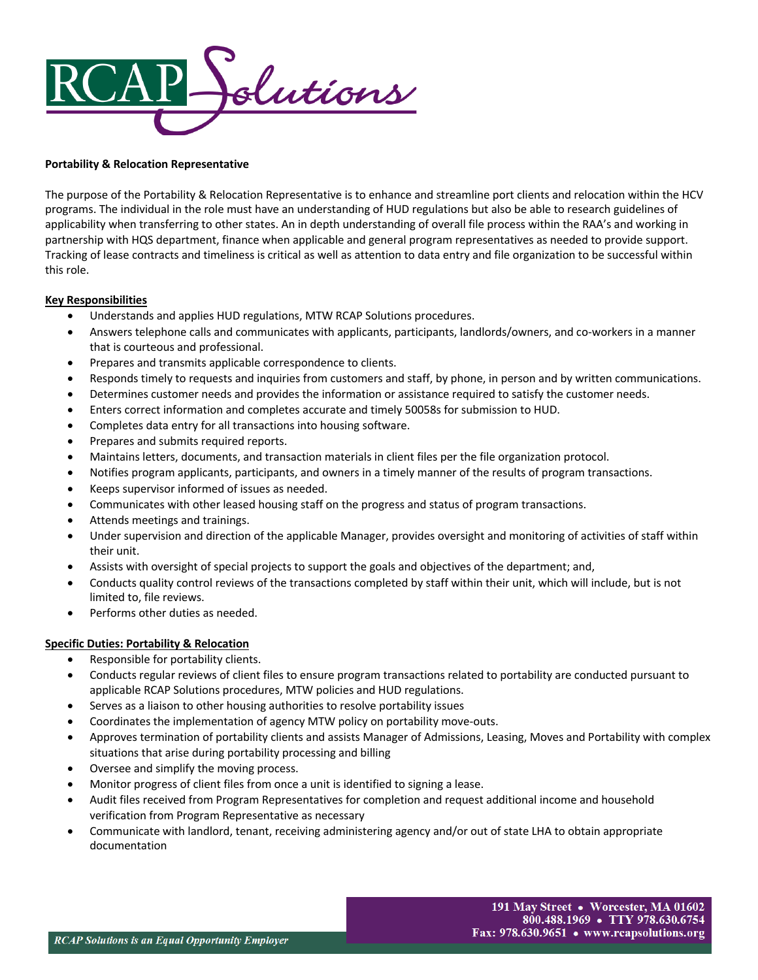

## **Portability & Relocation Representative**

The purpose of the Portability & Relocation Representative is to enhance and streamline port clients and relocation within the HCV programs. The individual in the role must have an understanding of HUD regulations but also be able to research guidelines of applicability when transferring to other states. An in depth understanding of overall file process within the RAA's and working in partnership with HQS department, finance when applicable and general program representatives as needed to provide support. Tracking of lease contracts and timeliness is critical as well as attention to data entry and file organization to be successful within this role.

### **Key Responsibilities**

- Understands and applies HUD regulations, MTW RCAP Solutions procedures.
- Answers telephone calls and communicates with applicants, participants, landlords/owners, and co-workers in a manner that is courteous and professional.
- Prepares and transmits applicable correspondence to clients.
- Responds timely to requests and inquiries from customers and staff, by phone, in person and by written communications.
- Determines customer needs and provides the information or assistance required to satisfy the customer needs.
- Enters correct information and completes accurate and timely 50058s for submission to HUD.
- Completes data entry for all transactions into housing software.
- Prepares and submits required reports.
- Maintains letters, documents, and transaction materials in client files per the file organization protocol.
- Notifies program applicants, participants, and owners in a timely manner of the results of program transactions.
- Keeps supervisor informed of issues as needed.
- Communicates with other leased housing staff on the progress and status of program transactions.
- Attends meetings and trainings.
- Under supervision and direction of the applicable Manager, provides oversight and monitoring of activities of staff within their unit.
- Assists with oversight of special projects to support the goals and objectives of the department; and,
- Conducts quality control reviews of the transactions completed by staff within their unit, which will include, but is not limited to, file reviews.
- Performs other duties as needed.

## **Specific Duties: Portability & Relocation**

- Responsible for portability clients.
- Conducts regular reviews of client files to ensure program transactions related to portability are conducted pursuant to applicable RCAP Solutions procedures, MTW policies and HUD regulations.
- Serves as a liaison to other housing authorities to resolve portability issues
- Coordinates the implementation of agency MTW policy on portability move-outs.
- Approves termination of portability clients and assists Manager of Admissions, Leasing, Moves and Portability with complex situations that arise during portability processing and billing
- Oversee and simplify the moving process.
- Monitor progress of client files from once a unit is identified to signing a lease.
- Audit files received from Program Representatives for completion and request additional income and household verification from Program Representative as necessary
- Communicate with landlord, tenant, receiving administering agency and/or out of state LHA to obtain appropriate documentation